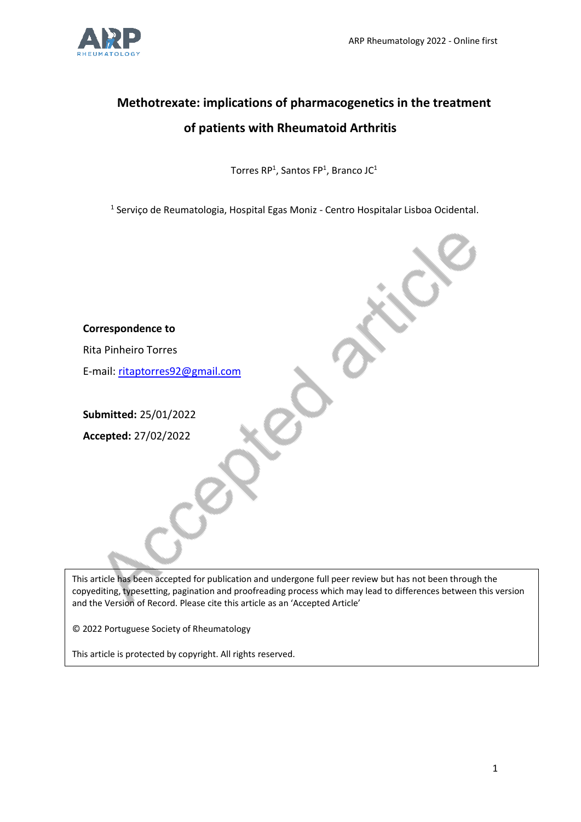# **Methotrexate: implications of pharmacogenetics in the treatment of patients with Rheumatoid Arthritis**

Torres RP<sup>1</sup>, Santos FP<sup>1</sup>, Branco JC<sup>1</sup>

<sup>1</sup> Serviço de Reumatologia, Hospital Egas Moniz - Centro Hospitalar Lisboa Ocidental.

| <b>Correspondence to</b>        |  |
|---------------------------------|--|
| <b>Rita Pinheiro Torres</b>     |  |
| E-mail: ritaptorres92@gmail.com |  |
|                                 |  |
| Submitted: 25/01/2022           |  |
| Accepted: 27/02/2022            |  |
|                                 |  |
|                                 |  |
|                                 |  |
|                                 |  |
|                                 |  |

This article has been accepted for publication and undergone full peer review but has not been through the copyediting, typesetting, pagination and proofreading process which may lead to differences between this version and the Version of Record. Please cite this article as an 'Accepted Article'

© 2022 Portuguese Society of Rheumatology

This article is protected by copyright. All rights reserved.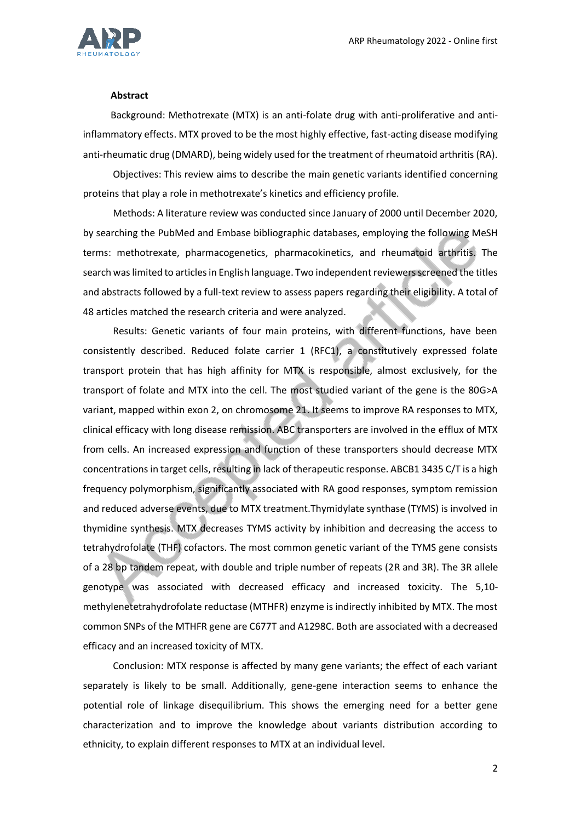

#### **Abstract**

Background: Methotrexate (MTX) is an anti-folate drug with anti-proliferative and antiinflammatory effects. MTX proved to be the most highly effective, fast-acting disease modifying anti-rheumatic drug (DMARD), being widely used for the treatment of rheumatoid arthritis (RA).

Objectives: This review aims to describe the main genetic variants identified concerning proteins that play a role in methotrexate's kinetics and efficiency profile.

Methods: A literature review was conducted since January of 2000 until December 2020, by searching the PubMed and Embase bibliographic databases, employing the following MeSH terms: methotrexate, pharmacogenetics, pharmacokinetics, and rheumatoid arthritis. The search was limited to articles in English language. Two independent reviewers screened the titles and abstracts followed by a full-text review to assess papers regarding their eligibility. A total of 48 articles matched the research criteria and were analyzed.

Results: Genetic variants of four main proteins, with different functions, have been consistently described. Reduced folate carrier 1 (RFC1), a constitutively expressed folate transport protein that has high affinity for MTX is responsible, almost exclusively, for the transport of folate and MTX into the cell. The most studied variant of the gene is the 80G>A variant, mapped within exon 2, on chromosome 21. It seems to improve RA responses to MTX, clinical efficacy with long disease remission. ABC transporters are involved in the efflux of MTX from cells. An increased expression and function of these transporters should decrease MTX concentrations in target cells, resulting in lack of therapeutic response. ABCB1 3435 C/T is a high frequency polymorphism, significantly associated with RA good responses, symptom remission and reduced adverse events, due to MTX treatment.Thymidylate synthase (TYMS) is involved in thymidine synthesis. MTX decreases TYMS activity by inhibition and decreasing the access to tetrahydrofolate (THF) cofactors. The most common genetic variant of the TYMS gene consists of a 28 bp tandem repeat, with double and triple number of repeats (2R and 3R). The 3R allele genotype was associated with decreased efficacy and increased toxicity. The 5,10 methylenetetrahydrofolate reductase (MTHFR) enzyme is indirectly inhibited by MTX. The most common SNPs of the MTHFR gene are C677T and A1298C. Both are associated with a decreased efficacy and an increased toxicity of MTX.

Conclusion: MTX response is affected by many gene variants; the effect of each variant separately is likely to be small. Additionally, gene-gene interaction seems to enhance the potential role of linkage disequilibrium. This shows the emerging need for a better gene characterization and to improve the knowledge about variants distribution according to ethnicity, to explain different responses to MTX at an individual level.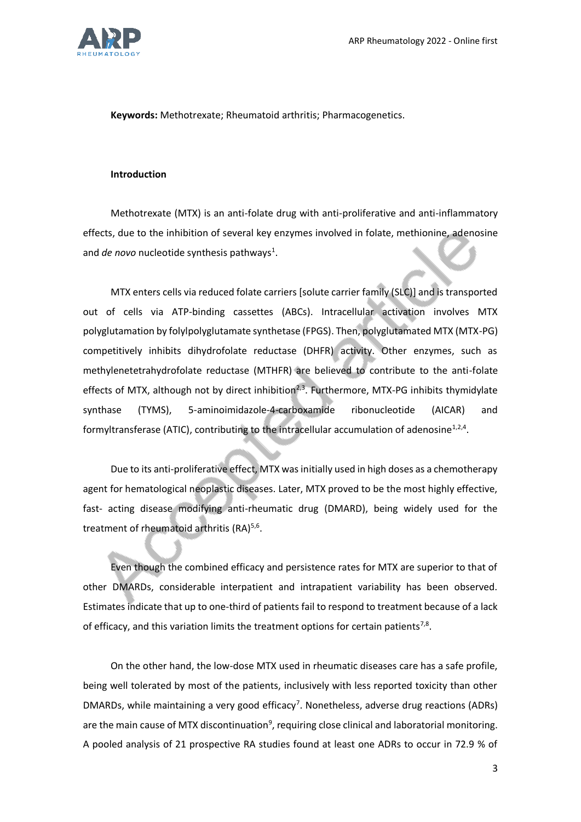

**Keywords:** Methotrexate; Rheumatoid arthritis; Pharmacogenetics.

#### **Introduction**

Methotrexate (MTX) is an anti-folate drug with anti-proliferative and anti-inflammatory effects, due to the inhibition of several key enzymes involved in folate, methionine, adenosine and *de novo* nucleotide synthesis pathways<sup>1</sup>.

MTX enters cells via reduced folate carriers [solute carrier family (SLC)] and is transported out of cells via ATP-binding cassettes (ABCs). Intracellular activation involves MTX polyglutamation by folylpolyglutamate synthetase (FPGS). Then, polyglutamated MTX (MTX-PG) competitively inhibits dihydrofolate reductase (DHFR) activity. Other enzymes, such as methylenetetrahydrofolate reductase (MTHFR) are believed to contribute to the anti-folate effects of MTX, although not by direct inhibition<sup>2,3</sup>. Furthermore, MTX-PG inhibits thymidylate synthase (TYMS), 5-aminoimidazole-4-carboxamide ribonucleotide (AICAR) and formyltransferase (ATIC), contributing to the intracellular accumulation of adenosine<sup>1,2,4</sup>.

Due to its anti-proliferative effect, MTX was initially used in high doses as a chemotherapy agent for hematological neoplastic diseases. Later, MTX proved to be the most highly effective, fast- acting disease modifying anti-rheumatic drug (DMARD), being widely used for the treatment of rheumatoid arthritis (RA)<sup>5,6</sup>.

Even though the combined efficacy and persistence rates for MTX are superior to that of other DMARDs, considerable interpatient and intrapatient variability has been observed. Estimates indicate that up to one-third of patients fail to respond to treatment because of a lack of efficacy, and this variation limits the treatment options for certain patients<sup>7,8</sup>.

On the other hand, the low-dose MTX used in rheumatic diseases care has a safe profile, being well tolerated by most of the patients, inclusively with less reported toxicity than other DMARDs, while maintaining a very good efficacy<sup>7</sup>. Nonetheless, adverse drug reactions (ADRs) are the main cause of MTX discontinuation<sup>9</sup>, requiring close clinical and laboratorial monitoring. A pooled analysis of 21 prospective RA studies found at least one ADRs to occur in 72.9 % of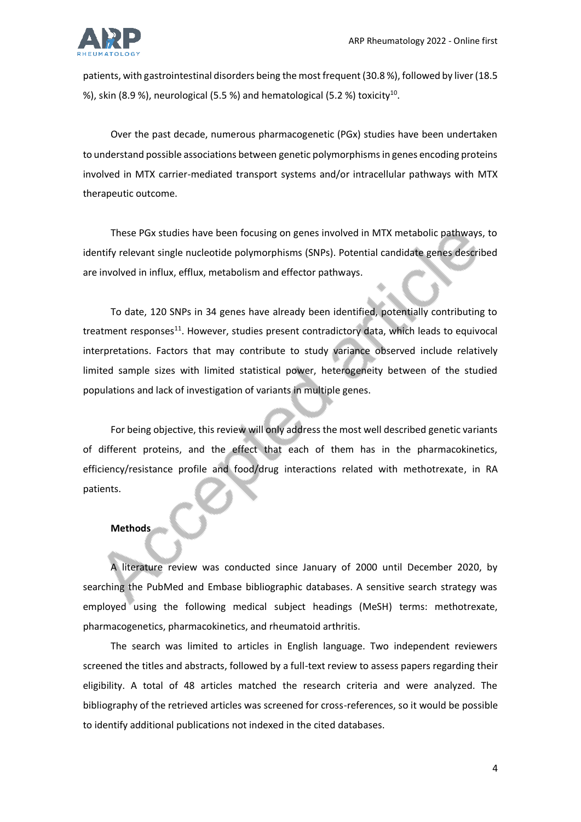

patients, with gastrointestinal disorders being the most frequent (30.8 %), followed by liver (18.5 %), skin (8.9 %), neurological (5.5 %) and hematological (5.2 %) toxicity $^{10}$ .

Over the past decade, numerous pharmacogenetic (PGx) studies have been undertaken to understand possible associations between genetic polymorphisms in genes encoding proteins involved in MTX carrier-mediated transport systems and/or intracellular pathways with MTX therapeutic outcome.

These PGx studies have been focusing on genes involved in MTX metabolic pathways, to identify relevant single nucleotide polymorphisms (SNPs). Potential candidate genes described are involved in influx, efflux, metabolism and effector pathways.

To date, 120 SNPs in 34 genes have already been identified, potentially contributing to treatment responses $11$ . However, studies present contradictory data, which leads to equivocal interpretations. Factors that may contribute to study variance observed include relatively limited sample sizes with limited statistical power, heterogeneity between of the studied populations and lack of investigation of variants in multiple genes.

For being objective, this review will only address the most well described genetic variants of different proteins, and the effect that each of them has in the pharmacokinetics, efficiency/resistance profile and food/drug interactions related with methotrexate, in RA patients.

# **Methods**

A literature review was conducted since January of 2000 until December 2020, by searching the PubMed and Embase bibliographic databases. A sensitive search strategy was employed using the following medical subject headings (MeSH) terms: methotrexate, pharmacogenetics, pharmacokinetics, and rheumatoid arthritis.

The search was limited to articles in English language. Two independent reviewers screened the titles and abstracts, followed by a full-text review to assess papers regarding their eligibility. A total of 48 articles matched the research criteria and were analyzed. The bibliography of the retrieved articles was screened for cross-references, so it would be possible to identify additional publications not indexed in the cited databases.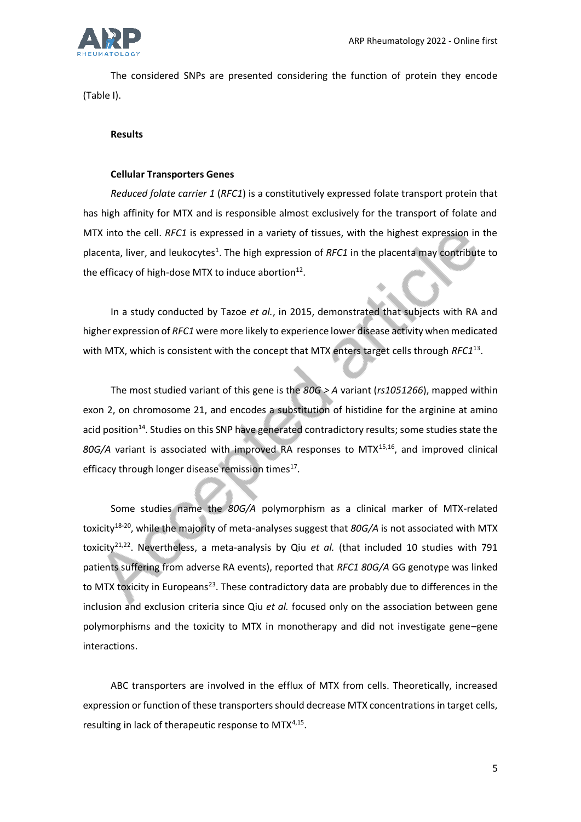

The considered SNPs are presented considering the function of protein they encode (Table I).

## **Results**

## **Cellular Transporters Genes**

*Reduced folate carrier 1* (*RFC1*) is a constitutively expressed folate transport protein that has high affinity for MTX and is responsible almost exclusively for the transport of folate and MTX into the cell. *RFC1* is expressed in a variety of tissues, with the highest expression in the placenta, liver, and leukocytes<sup>1</sup>. The high expression of *RFC1* in the placenta may contribute to the efficacy of high-dose MTX to induce abortion $^{12}$ .

In a study conducted by Tazoe *et al.*, in 2015, demonstrated that subjects with RA and higher expression of *RFC1* were more likely to experience lower disease activity when medicated with MTX, which is consistent with the concept that MTX enters target cells through *RFC1*<sup>13</sup> .

The most studied variant of this gene is the *80G > A* variant (*rs1051266*), mapped within exon 2, on chromosome 21, and encodes a substitution of histidine for the arginine at amino acid position<sup>14</sup>. Studies on this SNP have generated contradictory results; some studies state the 80G/A variant is associated with improved RA responses to MTX<sup>15,16</sup>, and improved clinical efficacy through longer disease remission times<sup>17</sup>.

Some studies name the *80G/A* polymorphism as a clinical marker of MTX-related toxicity18-20, while the majority of meta-analyses suggest that *80G/A* is not associated with MTX toxicity<sup>21,22</sup>. Nevertheless, a meta-analysis by Qiu *et al.* (that included 10 studies with 791 patients suffering from adverse RA events), reported that *RFC1 80G/A* GG genotype was linked to MTX toxicity in Europeans<sup>23</sup>. These contradictory data are probably due to differences in the inclusion and exclusion criteria since Qiu *et al.* focused only on the association between gene polymorphisms and the toxicity to MTX in monotherapy and did not investigate gene–gene interactions.

ABC transporters are involved in the efflux of MTX from cells. Theoretically, increased expression or function of these transporters should decrease MTX concentrations in target cells, resulting in lack of therapeutic response to MTX<sup>4,15</sup>.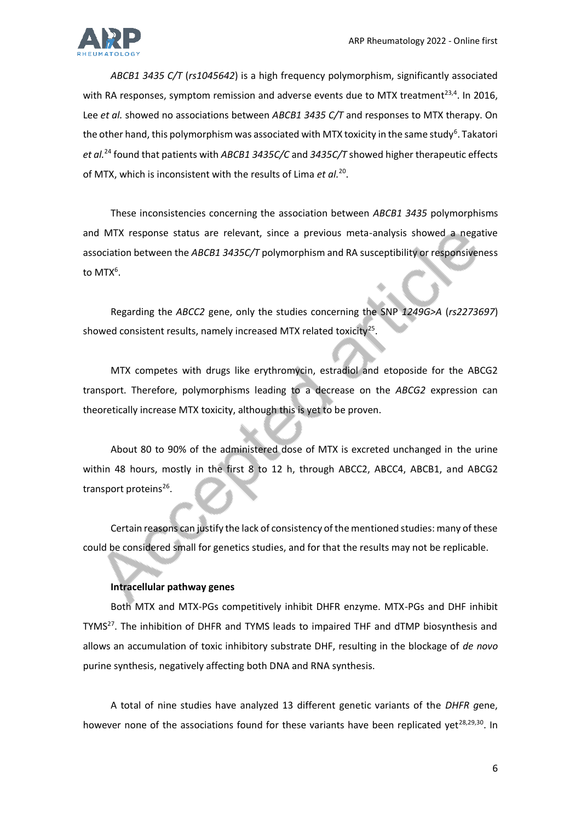

*ABCB1 3435 C/T* (*rs1045642*) is a high frequency polymorphism, significantly associated with RA responses, symptom remission and adverse events due to MTX treatment<sup>23,4</sup>. In 2016, Lee *et al.* showed no associations between *ABCB1 3435 C/T* and responses to MTX therapy. On the other hand, this polymorphism was associated with MTX toxicity in the same study<sup>6</sup>. Takatori *et al.*<sup>24</sup> found that patients with *ABCB1 3435C/C* and *3435C/T* showed higher therapeutic effects of MTX, which is inconsistent with the results of Lima *et al.*<sup>20</sup> .

These inconsistencies concerning the association between *ABCB1 3435* polymorphisms and MTX response status are relevant, since a previous meta-analysis showed a negative association between the *ABCB1 3435C/T* polymorphism and RA susceptibility or responsiveness to MTX<sup>6</sup>.

Regarding the *ABCC2* gene, only the studies concerning the SNP *1249G>A* (*rs2273697*) showed consistent results, namely increased MTX related toxicity<sup>25</sup>.

MTX competes with drugs like erythromycin, estradiol and etoposide for the ABCG2 transport. Therefore, polymorphisms leading to a decrease on the *ABCG2* expression can theoretically increase MTX toxicity, although this is yet to be proven.

About 80 to 90% of the administered dose of MTX is excreted unchanged in the urine within 48 hours, mostly in the first 8 to 12 h, through ABCC2, ABCC4, ABCB1, and ABCG2 transport proteins<sup>26</sup>.

Certain reasons can justify the lack of consistency of the mentioned studies: many of these could be considered small for genetics studies, and for that the results may not be replicable.

# **Intracellular pathway genes**

Both MTX and MTX-PGs competitively inhibit DHFR enzyme. MTX-PGs and DHF inhibit TYMS<sup>27</sup>. The inhibition of DHFR and TYMS leads to impaired THF and dTMP biosynthesis and allows an accumulation of toxic inhibitory substrate DHF, resulting in the blockage of *de novo*  purine synthesis, negatively affecting both DNA and RNA synthesis.

A total of nine studies have analyzed 13 different genetic variants of the *DHFR g*ene, however none of the associations found for these variants have been replicated yet<sup>28,29,30</sup>. In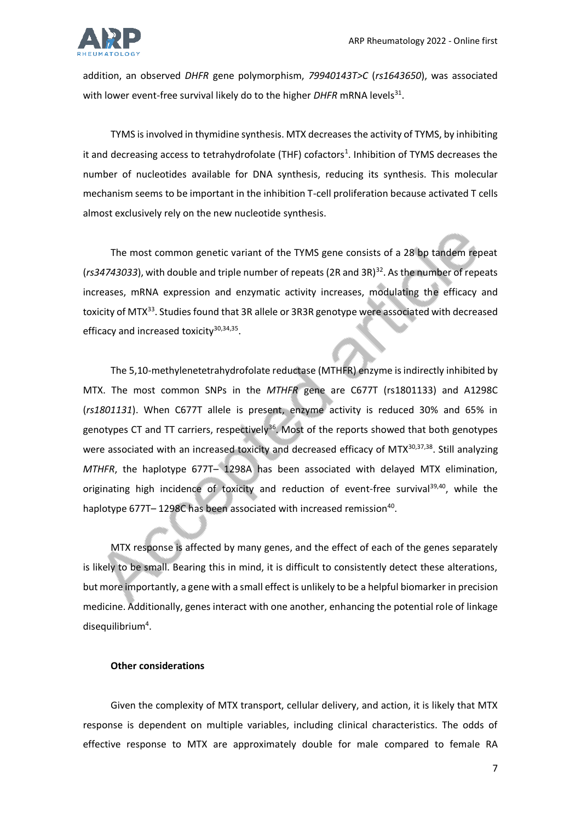

addition, an observed *DHFR* gene polymorphism, *79940143T>C* (*rs1643650*), was associated with lower event-free survival likely do to the higher *DHFR* mRNA levels<sup>31</sup>.

TYMS is involved in thymidine synthesis. MTX decreases the activity of TYMS, by inhibiting it and decreasing access to tetrahydrofolate (THF) cofactors<sup>1</sup>. Inhibition of TYMS decreases the number of nucleotides available for DNA synthesis, reducing its synthesis. This molecular mechanism seems to be important in the inhibition T-cell proliferation because activated T cells almost exclusively rely on the new nucleotide synthesis.

The most common genetic variant of the TYMS gene consists of a 28 bp tandem repeat (rs34743033), with double and triple number of repeats (2R and 3R)<sup>32</sup>. As the number of repeats increases, mRNA expression and enzymatic activity increases, modulating the efficacy and toxicity of MTX<sup>33</sup>. Studies found that 3R allele or 3R3R genotype were associated with decreased efficacy and increased toxicity<sup>30,34,35</sup>.

The 5,10-methylenetetrahydrofolate reductase (MTHFR) enzyme is indirectly inhibited by MTX. The most common SNPs in the *MTHFR* gene are C677T (rs1801133) and A1298C (*rs1801131*). When C677T allele is present, enzyme activity is reduced 30% and 65% in genotypes CT and TT carriers, respectively<sup>36</sup>. Most of the reports showed that both genotypes were associated with an increased toxicity and decreased efficacy of MTX<sup>30,37,38</sup>. Still analyzing *MTHFR*, the haplotype 677T– 1298A has been associated with delayed MTX elimination, originating high incidence of toxicity and reduction of event-free survival $39,40$ , while the haplotype 677T-1298C has been associated with increased remission<sup>40</sup>.

MTX response is affected by many genes, and the effect of each of the genes separately is likely to be small. Bearing this in mind, it is difficult to consistently detect these alterations, but more importantly, a gene with a small effect is unlikely to be a helpful biomarker in precision medicine. Additionally, genes interact with one another, enhancing the potential role of linkage disequilibrium<sup>4</sup>.

# **Other considerations**

Given the complexity of MTX transport, cellular delivery, and action, it is likely that MTX response is dependent on multiple variables, including clinical characteristics. The odds of effective response to MTX are approximately double for male compared to female RA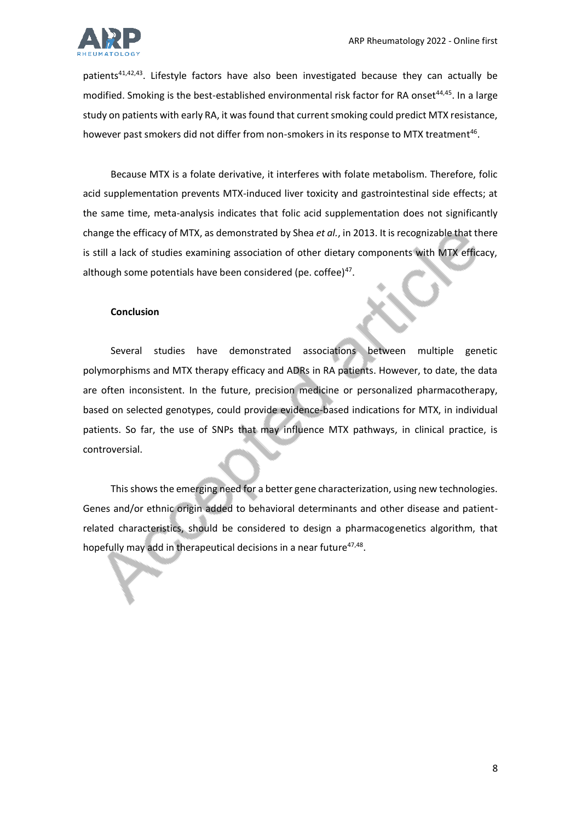

patients<sup>41,42,43</sup>. Lifestyle factors have also been investigated because they can actually be modified. Smoking is the best-established environmental risk factor for RA onset<sup>44,45</sup>. In a large study on patients with early RA, it was found that current smoking could predict MTX resistance, however past smokers did not differ from non-smokers in its response to MTX treatment<sup>46</sup>.

Because MTX is a folate derivative, it interferes with folate metabolism. Therefore, folic acid supplementation prevents MTX-induced liver toxicity and gastrointestinal side effects; at the same time, meta-analysis indicates that folic acid supplementation does not significantly change the efficacy of MTX, as demonstrated by Shea *et al.*, in 2013. It is recognizable that there is still a lack of studies examining association of other dietary components with MTX efficacy, although some potentials have been considered (pe. coffee)<sup>47</sup>.

### **Conclusion**

Several studies have demonstrated associations between multiple genetic polymorphisms and MTX therapy efficacy and ADRs in RA patients. However, to date, the data are often inconsistent. In the future, precision medicine or personalized pharmacotherapy, based on selected genotypes, could provide evidence-based indications for MTX, in individual patients. So far, the use of SNPs that may influence MTX pathways, in clinical practice, is controversial.

This shows the emerging need for a better gene characterization, using new technologies. Genes and/or ethnic origin added to behavioral determinants and other disease and patientrelated characteristics, should be considered to design a pharmacogenetics algorithm, that hopefully may add in therapeutical decisions in a near future<sup>47,48</sup>.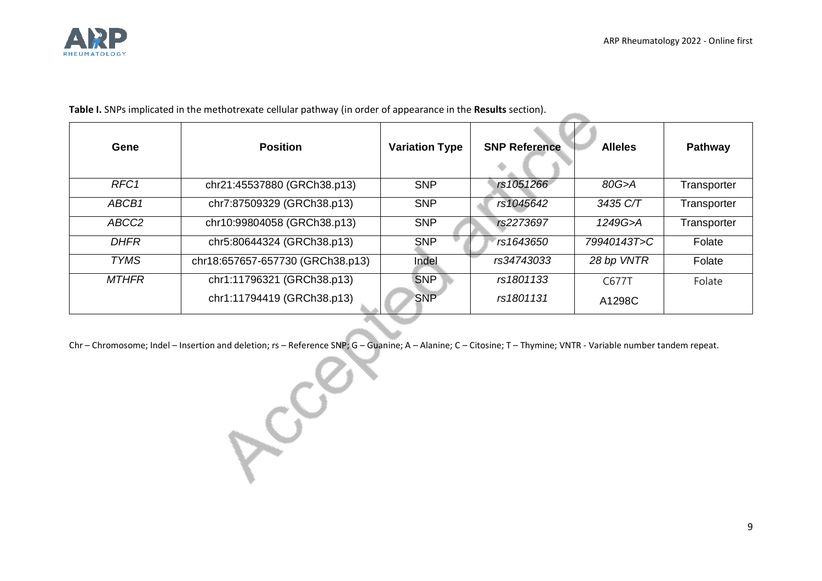

<u>and the contract of the contract of the contract of the contract of the contract of the contract of the contract of the contract of the contract of the contract of the contract of the contract of the contract of the contr</u>

**Table I.** SNPs implicated in the methotrexate cellular pathway (in order of appearance in the **Results** section).

| Gene              | <b>Position</b>                  | <b>Variation Type</b> | <b>SNP Reference</b> | <b>Alleles</b> | <b>Pathway</b> |
|-------------------|----------------------------------|-----------------------|----------------------|----------------|----------------|
| RFC <sub>1</sub>  | chr21:45537880 (GRCh38.p13)      | <b>SNP</b>            | rs1051266            | 80G>A          | Transporter    |
| ABCB1             | chr7:87509329 (GRCh38.p13)       | <b>SNP</b>            | rs1045642            | 3435 C/T       | Transporter    |
| ABCC <sub>2</sub> | chr10:99804058 (GRCh38.p13)      | <b>SNP</b>            | rs2273697            | 1249G>A        | Transporter    |
| <b>DHFR</b>       | chr5:80644324 (GRCh38.p13)       | <b>SNP</b>            | rs1643650            | 79940143T>C    | Folate         |
| <b>TYMS</b>       | chr18:657657-657730 (GRCh38.p13) | Indel                 | rs34743033           | 28 bp VNTR     | Folate         |
| <b>MTHFR</b>      | chr1:11796321 (GRCh38.p13)       | <b>SNP</b>            | rs1801133            | C677T          | Folate         |
|                   | chr1:11794419 (GRCh38.p13)       | <b>SNP</b>            | rs1801131            | A1298C         |                |

Chr – Chromosome; Indel – Insertion and deletion; rs – Reference SNP; G – Guanine; A – Alanine; C – Citosine; T – Thymine; VNTR - Variable number tandem repeat.

Acces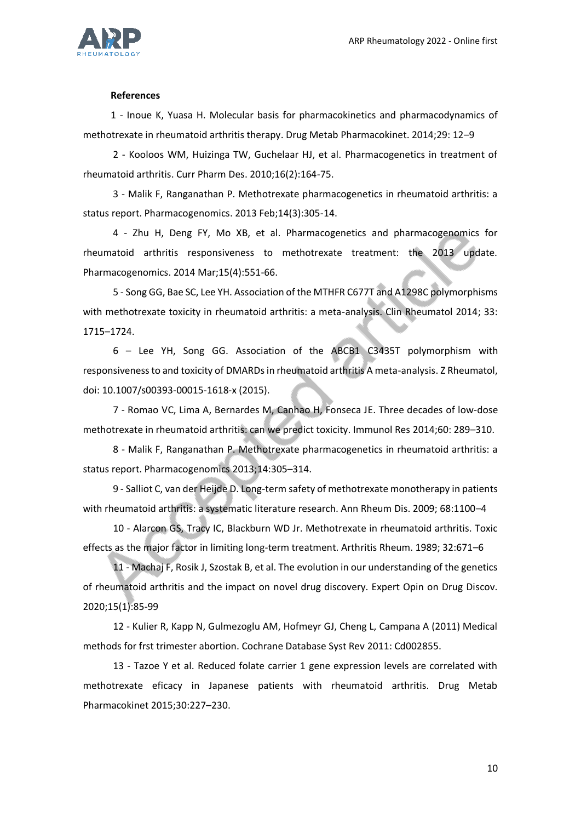

#### **References**

1 - Inoue K, Yuasa H. Molecular basis for pharmacokinetics and pharmacodynamics of methotrexate in rheumatoid arthritis therapy. Drug Metab Pharmacokinet. 2014;29: 12–9

2 - Kooloos WM, Huizinga TW, Guchelaar HJ, et al. Pharmacogenetics in treatment of rheumatoid arthritis. Curr Pharm Des. 2010;16(2):164-75.

3 - Malik F, Ranganathan P. Methotrexate pharmacogenetics in rheumatoid arthritis: a status report. Pharmacogenomics. 2013 Feb;14(3):305-14.

4 - Zhu H, Deng FY, Mo XB, et al. Pharmacogenetics and pharmacogenomics for rheumatoid arthritis responsiveness to methotrexate treatment: the 2013 update. Pharmacogenomics. 2014 Mar;15(4):551-66.

5 - Song GG, Bae SC, Lee YH. Association of the MTHFR C677T and A1298C polymorphisms with methotrexate toxicity in rheumatoid arthritis: a meta-analysis. Clin Rheumatol 2014; 33: 1715–1724.

6 – Lee YH, Song GG. Association of the ABCB1 C3435T polymorphism with responsiveness to and toxicity of DMARDs in rheumatoid arthritis A meta-analysis. Z Rheumatol, doi: 10.1007/s00393-00015-1618-x (2015).

7 - Romao VC, Lima A, Bernardes M, Canhao H, Fonseca JE. Three decades of low-dose methotrexate in rheumatoid arthritis: can we predict toxicity. Immunol Res 2014;60: 289–310.

8 - Malik F, Ranganathan P. Methotrexate pharmacogenetics in rheumatoid arthritis: a status report. Pharmacogenomics 2013;14:305–314.

9 - Salliot C, van der Heijde D. Long-term safety of methotrexate monotherapy in patients with rheumatoid arthritis: a systematic literature research. Ann Rheum Dis. 2009; 68:1100–4

10 - Alarcon GS, Tracy IC, Blackburn WD Jr. Methotrexate in rheumatoid arthritis. Toxic effects as the major factor in limiting long-term treatment. Arthritis Rheum. 1989; 32:671–6

11 - Machaj F, Rosik J, Szostak B, et al. The evolution in our understanding of the genetics of rheumatoid arthritis and the impact on novel drug discovery. Expert Opin on Drug Discov. 2020;15(1):85-99

12 - Kulier R, Kapp N, Gulmezoglu AM, Hofmeyr GJ, Cheng L, Campana A (2011) Medical methods for frst trimester abortion. Cochrane Database Syst Rev 2011: Cd002855.

13 - Tazoe Y et al. Reduced folate carrier 1 gene expression levels are correlated with methotrexate eficacy in Japanese patients with rheumatoid arthritis. Drug Metab Pharmacokinet 2015;30:227–230.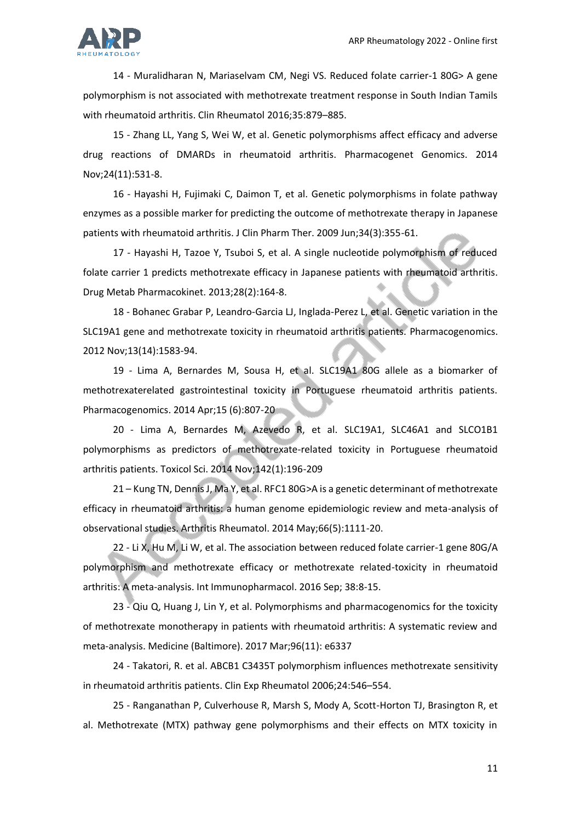

14 - Muralidharan N, Mariaselvam CM, Negi VS. Reduced folate carrier-1 80G> A gene polymorphism is not associated with methotrexate treatment response in South Indian Tamils with rheumatoid arthritis. Clin Rheumatol 2016;35:879–885.

15 - Zhang LL, Yang S, Wei W, et al. Genetic polymorphisms affect efficacy and adverse drug reactions of DMARDs in rheumatoid arthritis. Pharmacogenet Genomics. 2014 Nov;24(11):531-8.

16 - Hayashi H, Fujimaki C, Daimon T, et al. Genetic polymorphisms in folate pathway enzymes as a possible marker for predicting the outcome of methotrexate therapy in Japanese patients with rheumatoid arthritis. J Clin Pharm Ther. 2009 Jun;34(3):355-61.

17 - Hayashi H, Tazoe Y, Tsuboi S, et al. A single nucleotide polymorphism of reduced folate carrier 1 predicts methotrexate efficacy in Japanese patients with rheumatoid arthritis. Drug Metab Pharmacokinet. 2013;28(2):164-8.

18 - Bohanec Grabar P, Leandro-Garcia LJ, Inglada-Perez L, et al. Genetic variation in the SLC19A1 gene and methotrexate toxicity in rheumatoid arthritis patients. Pharmacogenomics. 2012 Nov;13(14):1583-94.

19 - Lima A, Bernardes M, Sousa H, et al. SLC19A1 80G allele as a biomarker of methotrexaterelated gastrointestinal toxicity in Portuguese rheumatoid arthritis patients. Pharmacogenomics. 2014 Apr;15 (6):807-20

20 - Lima A, Bernardes M, Azevedo R, et al. SLC19A1, SLC46A1 and SLCO1B1 polymorphisms as predictors of methotrexate-related toxicity in Portuguese rheumatoid arthritis patients. Toxicol Sci. 2014 Nov;142(1):196-209

21 – Kung TN, Dennis J, Ma Y, et al. RFC1 80G>A is a genetic determinant of methotrexate efficacy in rheumatoid arthritis: a human genome epidemiologic review and meta-analysis of observational studies. Arthritis Rheumatol. 2014 May;66(5):1111-20.

22 - Li X, Hu M, Li W, et al. The association between reduced folate carrier-1 gene 80G/A polymorphism and methotrexate efficacy or methotrexate related-toxicity in rheumatoid arthritis: A meta-analysis. Int Immunopharmacol. 2016 Sep; 38:8-15.

23 - Qiu Q, Huang J, Lin Y, et al. Polymorphisms and pharmacogenomics for the toxicity of methotrexate monotherapy in patients with rheumatoid arthritis: A systematic review and meta-analysis. Medicine (Baltimore). 2017 Mar;96(11): e6337

24 - Takatori, R. et al. ABCB1 C3435T polymorphism influences methotrexate sensitivity in rheumatoid arthritis patients. Clin Exp Rheumatol 2006;24:546–554.

25 - Ranganathan P, Culverhouse R, Marsh S, Mody A, Scott-Horton TJ, Brasington R, et al. Methotrexate (MTX) pathway gene polymorphisms and their effects on MTX toxicity in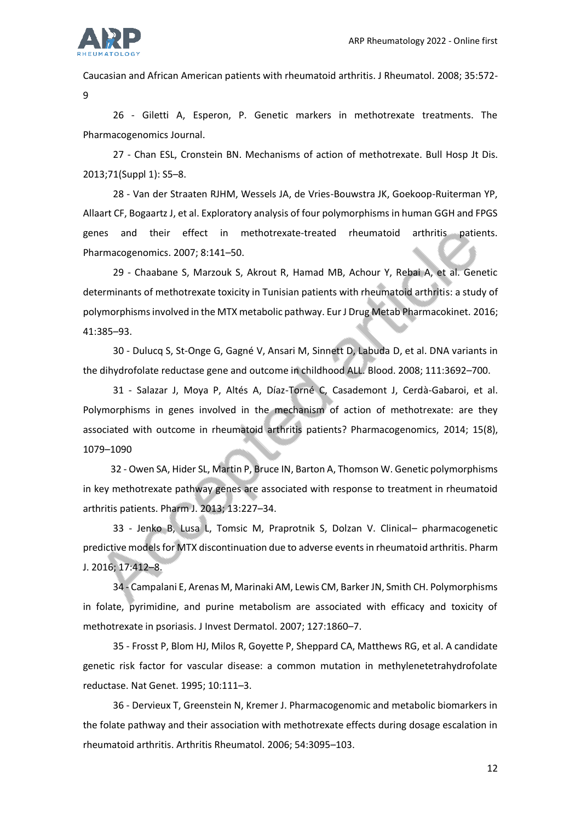

Caucasian and African American patients with rheumatoid arthritis. J Rheumatol. 2008; 35:572-

9

26 - Giletti A, Esperon, P. Genetic markers in methotrexate treatments. The Pharmacogenomics Journal.

27 - Chan ESL, Cronstein BN. Mechanisms of action of methotrexate. Bull Hosp Jt Dis. 2013;71(Suppl 1): S5–8.

28 - Van der Straaten RJHM, Wessels JA, de Vries-Bouwstra JK, Goekoop-Ruiterman YP, Allaart CF, Bogaartz J, et al. Exploratory analysis of four polymorphisms in human GGH and FPGS genes and their effect in methotrexate-treated rheumatoid arthritis patients. Pharmacogenomics. 2007; 8:141–50.

29 - Chaabane S, Marzouk S, Akrout R, Hamad MB, Achour Y, Rebai A, et al. Genetic determinants of methotrexate toxicity in Tunisian patients with rheumatoid arthritis: a study of polymorphisms involved in the MTX metabolic pathway. Eur J Drug Metab Pharmacokinet. 2016; 41:385–93.

30 - Dulucq S, St-Onge G, Gagné V, Ansari M, Sinnett D, Labuda D, et al. DNA variants in the dihydrofolate reductase gene and outcome in childhood ALL. Blood. 2008; 111:3692–700.

31 - Salazar J, Moya P, Altés A, Díaz-Torné C, Casademont J, Cerdà-Gabaroi, et al. Polymorphisms in genes involved in the mechanism of action of methotrexate: are they associated with outcome in rheumatoid arthritis patients? Pharmacogenomics, 2014; 15(8), 1079–1090

32 - Owen SA, Hider SL, Martin P, Bruce IN, Barton A, Thomson W. Genetic polymorphisms in key methotrexate pathway genes are associated with response to treatment in rheumatoid arthritis patients. Pharm J. 2013; 13:227–34.

33 - Jenko B, Lusa L, Tomsic M, Praprotnik S, Dolzan V. Clinical– pharmacogenetic predictive models for MTX discontinuation due to adverse events in rheumatoid arthritis. Pharm J. 2016; 17:412–8.

34 - Campalani E, Arenas M, Marinaki AM, Lewis CM, Barker JN, Smith CH. Polymorphisms in folate, pyrimidine, and purine metabolism are associated with efficacy and toxicity of methotrexate in psoriasis. J Invest Dermatol. 2007; 127:1860–7.

35 - Frosst P, Blom HJ, Milos R, Goyette P, Sheppard CA, Matthews RG, et al. A candidate genetic risk factor for vascular disease: a common mutation in methylenetetrahydrofolate reductase. Nat Genet. 1995; 10:111–3.

36 - Dervieux T, Greenstein N, Kremer J. Pharmacogenomic and metabolic biomarkers in the folate pathway and their association with methotrexate effects during dosage escalation in rheumatoid arthritis. Arthritis Rheumatol. 2006; 54:3095–103.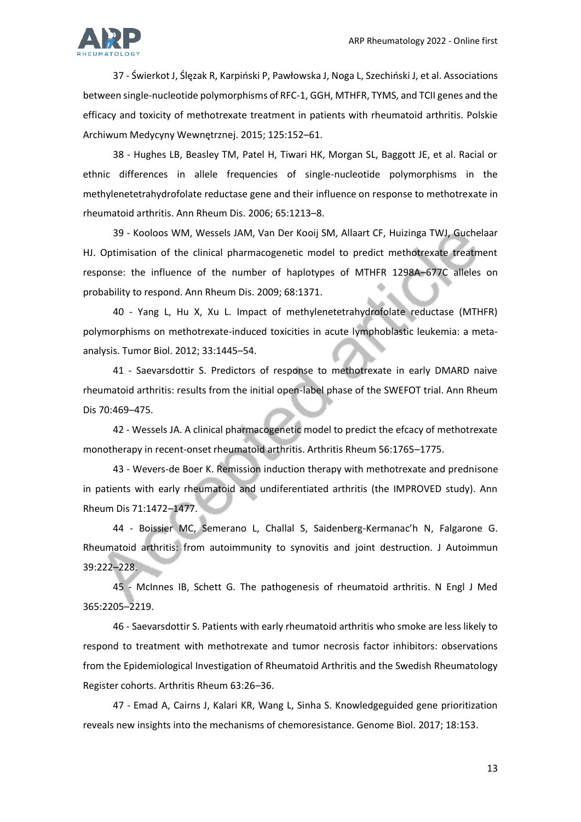

37 - Świerkot J, Ślęzak R, Karpiński P, Pawłowska J, Noga L, Szechiński J, et al. Associations between single-nucleotide polymorphisms of RFC-1, GGH, MTHFR, TYMS, and TCII genes and the efficacy and toxicity of methotrexate treatment in patients with rheumatoid arthritis. Polskie Archiwum Medycyny Wewnętrznej. 2015; 125:152–61.

38 - Hughes LB, Beasley TM, Patel H, Tiwari HK, Morgan SL, Baggott JE, et al. Racial or ethnic differences in allele frequencies of single-nucleotide polymorphisms in the methylenetetrahydrofolate reductase gene and their influence on response to methotrexate in rheumatoid arthritis. Ann Rheum Dis. 2006; 65:1213–8.

39 - Kooloos WM, Wessels JAM, Van Der Kooij SM, Allaart CF, Huizinga TWJ, Guchelaar HJ. Optimisation of the clinical pharmacogenetic model to predict methotrexate treatment response: the influence of the number of haplotypes of MTHFR 1298A–677C alleles on probability to respond. Ann Rheum Dis. 2009; 68:1371.

40 - Yang L, Hu X, Xu L. Impact of methylenetetrahydrofolate reductase (MTHFR) polymorphisms on methotrexate-induced toxicities in acute lymphoblastic leukemia: a metaanalysis. Tumor Biol. 2012; 33:1445–54.

41 - Saevarsdottir S. Predictors of response to methotrexate in early DMARD naive rheumatoid arthritis: results from the initial open-label phase of the SWEFOT trial. Ann Rheum Dis 70:469–475.

42 - Wessels JA. A clinical pharmacogenetic model to predict the efcacy of methotrexate monotherapy in recent-onset rheumatoid arthritis. Arthritis Rheum 56:1765–1775.

43 - Wevers-de Boer K. Remission induction therapy with methotrexate and prednisone in patients with early rheumatoid and undiferentiated arthritis (the IMPROVED study). Ann Rheum Dis 71:1472–1477.

44 - Boissier MC, Semerano L, Challal S, Saidenberg-Kermanac'h N, Falgarone G. Rheumatoid arthritis: from autoimmunity to synovitis and joint destruction. J Autoimmun 39:222–228.

45 - McInnes IB, Schett G. The pathogenesis of rheumatoid arthritis. N Engl J Med 365:2205–2219.

46 - Saevarsdottir S. Patients with early rheumatoid arthritis who smoke are less likely to respond to treatment with methotrexate and tumor necrosis factor inhibitors: observations from the Epidemiological Investigation of Rheumatoid Arthritis and the Swedish Rheumatology Register cohorts. Arthritis Rheum 63:26–36.

47 - Emad A, Cairns J, Kalari KR, Wang L, Sinha S. Knowledgeguided gene prioritization reveals new insights into the mechanisms of chemoresistance. Genome Biol. 2017; 18:153.